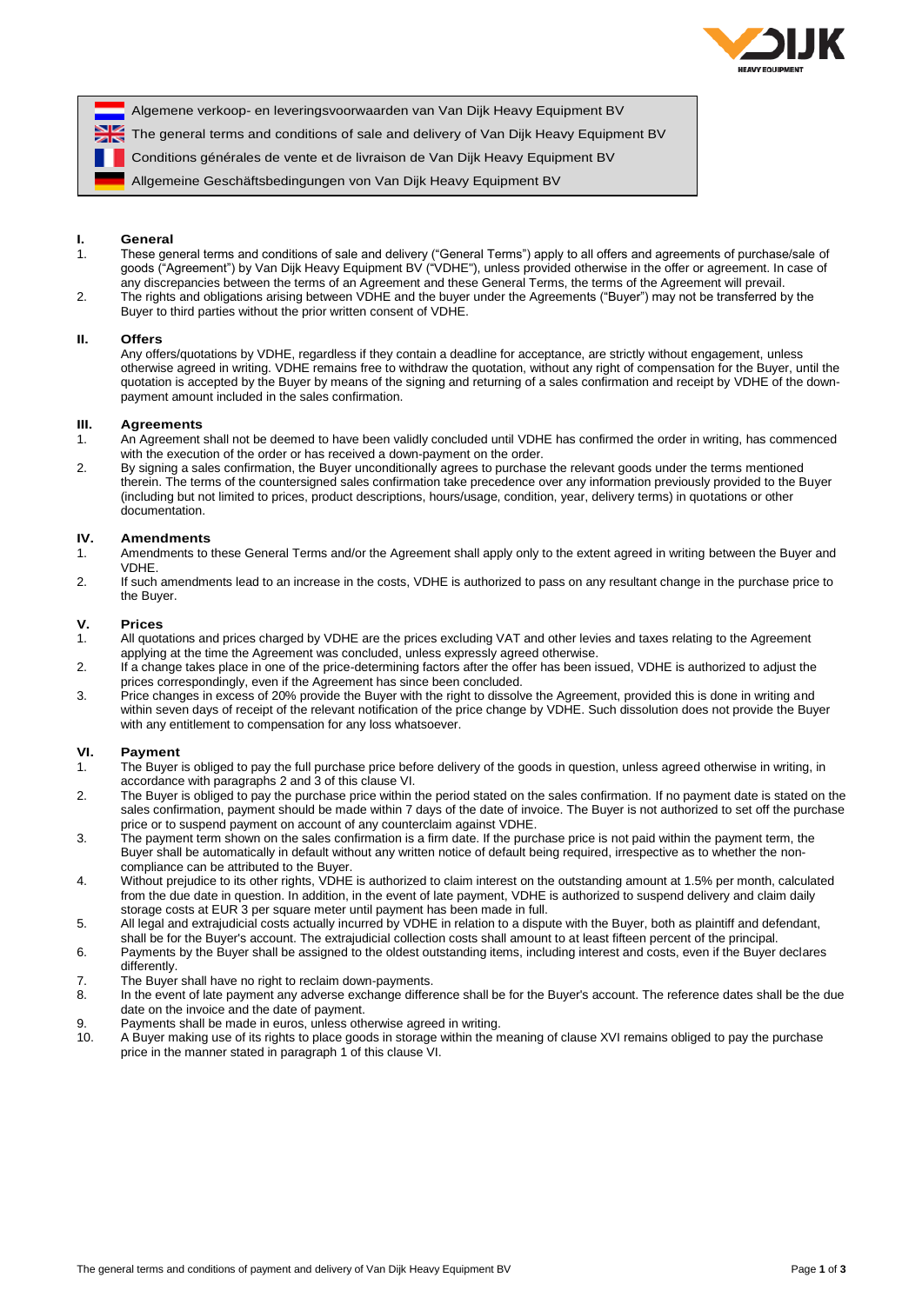

Algemene verkoop- en leveringsvoorwaarden van Van Dijk Heavy Equipment BV

The general terms and conditions of sale and delivery of Van Dijk Heavy Equipment BV

Conditions générales de vente et de livraison de Van Dijk Heavy Equipment BV

Allgemeine Geschäftsbedingungen von Van Dijk Heavy Equipment BV

## **I. General**

- 1. These general terms and conditions of sale and delivery ("General Terms") apply to all offers and agreements of purchase/sale of goods ("Agreement") by Van Dijk Heavy Equipment BV ("VDHE"), unless provided otherwise in the offer or agreement. In case of any discrepancies between the terms of an Agreement and these General Terms, the terms of the Agreement will prevail.
- 2. The rights and obligations arising between VDHE and the buyer under the Agreements ("Buyer") may not be transferred by the Buyer to third parties without the prior written consent of VDHE.

#### **II. Offers**

Any offers/quotations by VDHE, regardless if they contain a deadline for acceptance, are strictly without engagement, unless otherwise agreed in writing. VDHE remains free to withdraw the quotation, without any right of compensation for the Buyer, until the quotation is accepted by the Buyer by means of the signing and returning of a sales confirmation and receipt by VDHE of the downpayment amount included in the sales confirmation.

## **III. Agreements**

- 1. An Agreement shall not be deemed to have been validly concluded until VDHE has confirmed the order in writing, has commenced with the execution of the order or has received a down-payment on the order.
- 2. By signing a sales confirmation, the Buyer unconditionally agrees to purchase the relevant goods under the terms mentioned therein. The terms of the countersigned sales confirmation take precedence over any information previously provided to the Buyer (including but not limited to prices, product descriptions, hours/usage, condition, year, delivery terms) in quotations or other documentation.

#### **IV. Amendments**

- 1. Amendments to these General Terms and/or the Agreement shall apply only to the extent agreed in writing between the Buyer and VDHE.
- 2. If such amendments lead to an increase in the costs, VDHE is authorized to pass on any resultant change in the purchase price to the Buyer.

## **V. Prices**

- 1. All quotations and prices charged by VDHE are the prices excluding VAT and other levies and taxes relating to the Agreement applying at the time the Agreement was concluded, unless expressly agreed otherwise.
- 2. If a change takes place in one of the price-determining factors after the offer has been issued, VDHE is authorized to adjust the prices correspondingly, even if the Agreement has since been concluded.
- 3. Price changes in excess of 20% provide the Buyer with the right to dissolve the Agreement, provided this is done in writing and within seven days of receipt of the relevant notification of the price change by VDHE. Such dissolution does not provide the Buyer with any entitlement to compensation for any loss whatsoever.

#### **VI. Payment**

- 1. The Buyer is obliged to pay the full purchase price before delivery of the goods in question, unless agreed otherwise in writing, in accordance with paragraphs 2 and 3 of this clause VI.
- 2. The Buyer is obliged to pay the purchase price within the period stated on the sales confirmation. If no payment date is stated on the sales confirmation, payment should be made within 7 days of the date of invoice. The Buyer is not authorized to set off the purchase price or to suspend payment on account of any counterclaim against VDHE.
- 3. The payment term shown on the sales confirmation is a firm date. If the purchase price is not paid within the payment term, the Buyer shall be automatically in default without any written notice of default being required, irrespective as to whether the noncompliance can be attributed to the Buyer.
- 4. Without prejudice to its other rights, VDHE is authorized to claim interest on the outstanding amount at 1.5% per month, calculated from the due date in question. In addition, in the event of late payment, VDHE is authorized to suspend delivery and claim daily storage costs at EUR 3 per square meter until payment has been made in full.
- 5. All legal and extrajudicial costs actually incurred by VDHE in relation to a dispute with the Buyer, both as plaintiff and defendant, shall be for the Buyer's account. The extrajudicial collection costs shall amount to at least fifteen percent of the principal. 6. Payments by the Buyer shall be assigned to the oldest outstanding items, including interest and costs, even if the Buyer declares differently.
- 7. The Buyer shall have no right to reclaim down-payments.
- 8. In the event of late payment any adverse exchange difference shall be for the Buyer's account. The reference dates shall be the due date on the invoice and the date of payment.
- 9. Payments shall be made in euros, unless otherwise agreed in writing.
- 10. A Buyer making use of its rights to place goods in storage within the meaning of clause XVI remains obliged to pay the purchase price in the manner stated in paragraph 1 of this clause VI.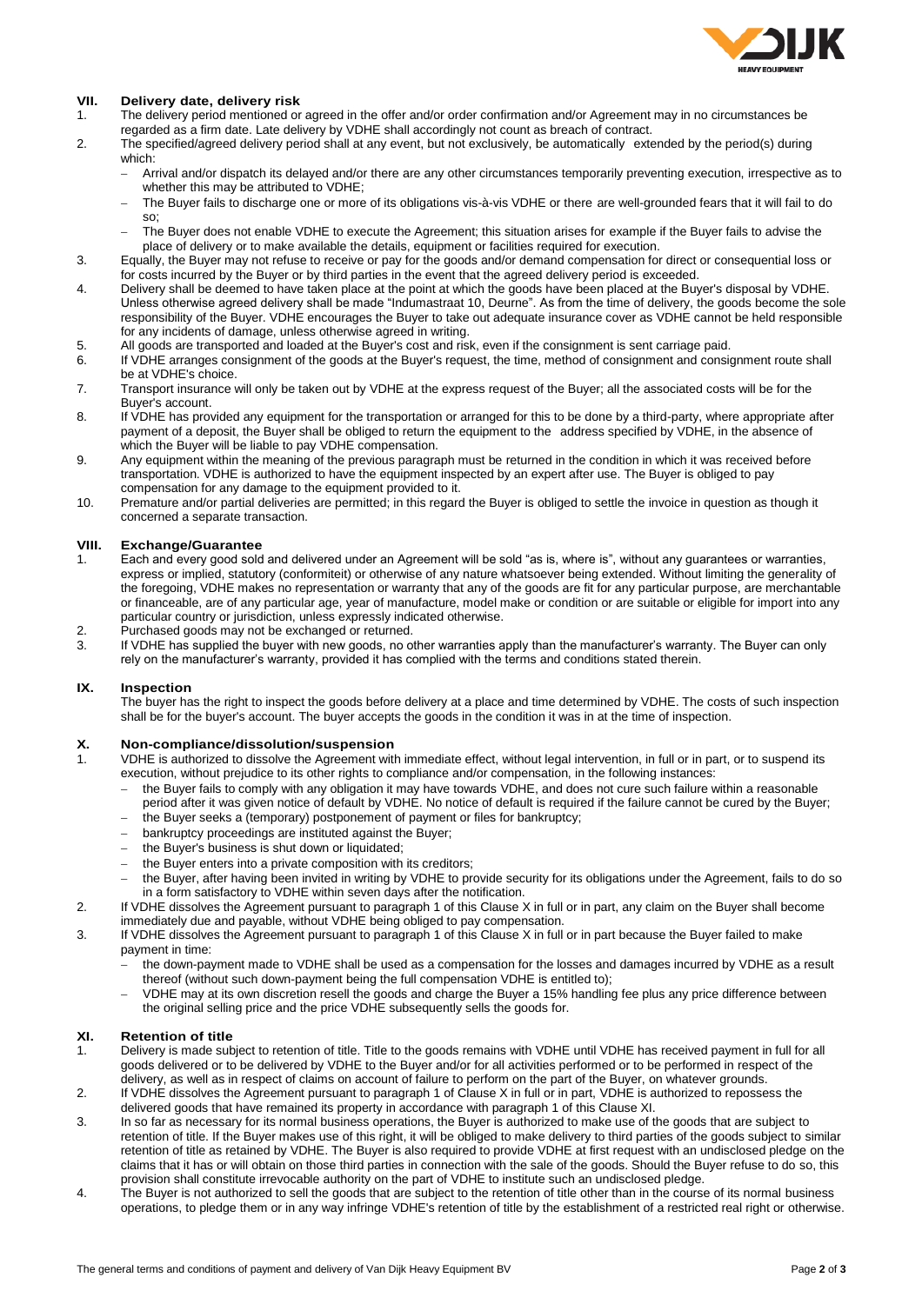

## **VII. Delivery date, delivery risk**

- The delivery period mentioned or agreed in the offer and/or order confirmation and/or Agreement may in no circumstances be regarded as a firm date. Late delivery by VDHE shall accordingly not count as breach of contract.
- 2. The specified/agreed delivery period shall at any event, but not exclusively, be automatically extended by the period(s) during which:
	- Arrival and/or dispatch its delayed and/or there are any other circumstances temporarily preventing execution, irrespective as to whether this may be attributed to VDHE;
	- The Buyer fails to discharge one or more of its obligations vis-à-vis VDHE or there are well-grounded fears that it will fail to do so;
	- The Buyer does not enable VDHE to execute the Agreement; this situation arises for example if the Buyer fails to advise the place of delivery or to make available the details, equipment or facilities required for execution.
- 3. Equally, the Buyer may not refuse to receive or pay for the goods and/or demand compensation for direct or consequential loss or for costs incurred by the Buyer or by third parties in the event that the agreed delivery period is exceeded.
- 4. Delivery shall be deemed to have taken place at the point at which the goods have been placed at the Buyer's disposal by VDHE. Unless otherwise agreed delivery shall be made "Indumastraat 10, Deurne". As from the time of delivery, the goods become the sole responsibility of the Buyer. VDHE encourages the Buyer to take out adequate insurance cover as VDHE cannot be held responsible for any incidents of damage, unless otherwise agreed in writing.
- 5. All goods are transported and loaded at the Buyer's cost and risk, even if the consignment is sent carriage paid.
- 6. If VDHE arranges consignment of the goods at the Buyer's request, the time, method of consignment and consignment route shall be at VDHE's choice.
- 7. Transport insurance will only be taken out by VDHE at the express request of the Buyer; all the associated costs will be for the Buyer's account.
- 8. If VDHE has provided any equipment for the transportation or arranged for this to be done by a third-party, where appropriate after payment of a deposit, the Buyer shall be obliged to return the equipment to the address specified by VDHE, in the absence of which the Buyer will be liable to pay VDHE compensation.
- 9. Any equipment within the meaning of the previous paragraph must be returned in the condition in which it was received before transportation. VDHE is authorized to have the equipment inspected by an expert after use. The Buyer is obliged to pay compensation for any damage to the equipment provided to it.
- 10. Premature and/or partial deliveries are permitted; in this regard the Buyer is obliged to settle the invoice in question as though it concerned a separate transaction.

### **VIII. Exchange/Guarantee**

- 1. Each and every good sold and delivered under an Agreement will be sold "as is, where is", without any guarantees or warranties, express or implied, statutory (conformiteit) or otherwise of any nature whatsoever being extended. Without limiting the generality of the foregoing, VDHE makes no representation or warranty that any of the goods are fit for any particular purpose, are merchantable or financeable, are of any particular age, year of manufacture, model make or condition or are suitable or eligible for import into any particular country or jurisdiction, unless expressly indicated otherwise.
- 2. Purchased goods may not be exchanged or returned.<br>3. If VDHE has supplied the buyer with new goods no of
- If VDHE has supplied the buyer with new goods, no other warranties apply than the manufacturer's warranty. The Buyer can only rely on the manufacturer's warranty, provided it has complied with the terms and conditions stated therein.

## **IX. Inspection**

The buyer has the right to inspect the goods before delivery at a place and time determined by VDHE. The costs of such inspection shall be for the buyer's account. The buyer accepts the goods in the condition it was in at the time of inspection.

# **X. Non-compliance/dissolution/suspension**

- VDHE is authorized to dissolve the Agreement with immediate effect, without legal intervention, in full or in part, or to suspend its execution, without prejudice to its other rights to compliance and/or compensation, in the following instances:
	- the Buyer fails to comply with any obligation it may have towards VDHE, and does not cure such failure within a reasonable period after it was given notice of default by VDHE. No notice of default is required if the failure cannot be cured by the Buyer;
	- the Buyer seeks a (temporary) postponement of payment or files for bankruptcy;
	- bankruptcy proceedings are instituted against the Buyer;
	- the Buyer's business is shut down or liquidated;
	- the Buyer enters into a private composition with its creditors;
	- the Buyer, after having been invited in writing by VDHE to provide security for its obligations under the Agreement, fails to do so in a form satisfactory to VDHE within seven days after the notification.
- 2. If VDHE dissolves the Agreement pursuant to paragraph 1 of this Clause X in full or in part, any claim on the Buyer shall become immediately due and payable, without VDHE being obliged to pay compensation.
- 3. If VDHE dissolves the Agreement pursuant to paragraph 1 of this Clause X in full or in part because the Buyer failed to make payment in time:
	- the down-payment made to VDHE shall be used as a compensation for the losses and damages incurred by VDHE as a result thereof (without such down-payment being the full compensation VDHE is entitled to);
	- VDHE may at its own discretion resell the goods and charge the Buyer a 15% handling fee plus any price difference between the original selling price and the price VDHE subsequently sells the goods for.

#### **XI. Retention of title**

- 1. Delivery is made subject to retention of title. Title to the goods remains with VDHE until VDHE has received payment in full for all goods delivered or to be delivered by VDHE to the Buyer and/or for all activities performed or to be performed in respect of the delivery, as well as in respect of claims on account of failure to perform on the part of the Buyer, on whatever grounds.
- 2. If VDHE dissolves the Agreement pursuant to paragraph 1 of Clause X in full or in part, VDHE is authorized to repossess the delivered goods that have remained its property in accordance with paragraph 1 of this Clause XI.
- 3. In so far as necessary for its normal business operations, the Buyer is authorized to make use of the goods that are subject to retention of title. If the Buyer makes use of this right, it will be obliged to make delivery to third parties of the goods subject to similar retention of title as retained by VDHE. The Buyer is also required to provide VDHE at first request with an undisclosed pledge on the claims that it has or will obtain on those third parties in connection with the sale of the goods. Should the Buyer refuse to do so, this provision shall constitute irrevocable authority on the part of VDHE to institute such an undisclosed pledge.
- 4. The Buyer is not authorized to sell the goods that are subject to the retention of title other than in the course of its normal business operations, to pledge them or in any way infringe VDHE's retention of title by the establishment of a restricted real right or otherwise.